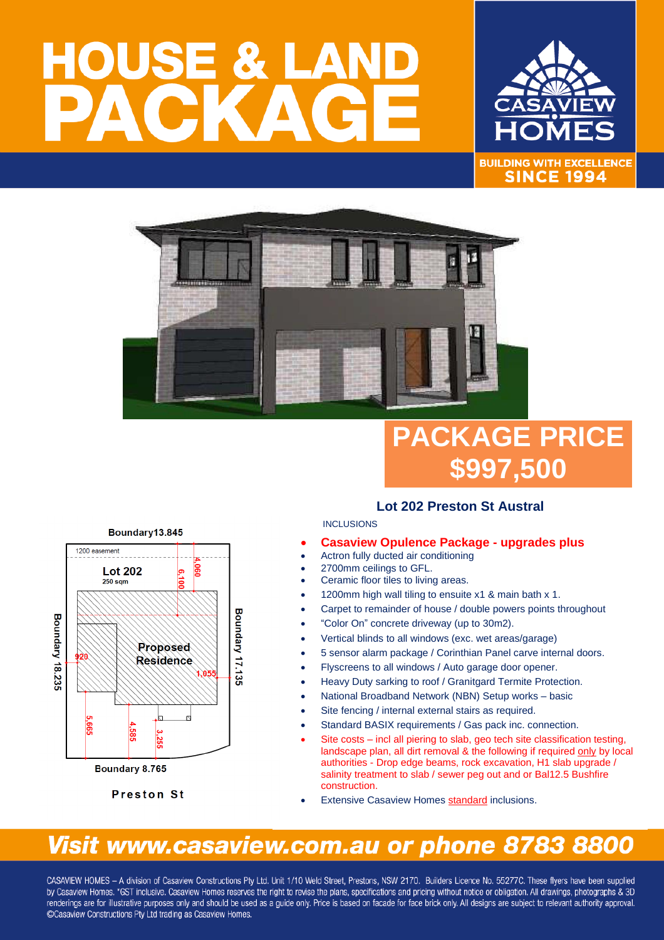# HOUSE & LA



**BUILDING WITH EXCELLENCE SINCE 1994** 



## **PACKAGE PRICE \$997,500**

### **Lot 202 Preston St Austral**

#### **INCLUSIONS**

- **Casaview Opulence Package - upgrades plus**
- Actron fully ducted air conditioning
- 2700mm ceilings to GFL.
- Ceramic floor tiles to living areas.
- 1200mm high wall tiling to ensuite x1 & main bath x 1.
- Carpet to remainder of house / double powers points throughout
- "Color On" concrete driveway (up to 30m2).
- Vertical blinds to all windows (exc. wet areas/garage)
- 5 sensor alarm package / Corinthian Panel carve internal doors.
- Flyscreens to all windows / Auto garage door opener.
- Heavy Duty sarking to roof / Granitgard Termite Protection.
- National Broadband Network (NBN) Setup works basic
- Site fencing / internal external stairs as required.
- Standard BASIX requirements / Gas pack inc. connection.
- Site costs incl all piering to slab, geo tech site classification testing, landscape plan, all dirt removal & the following if required only by local authorities - Drop edge beams, rock excavation, H1 slab upgrade / salinity treatment to slab / sewer peg out and or Bal12.5 Bushfire construction.
- **Extensive Casaview Homes standard inclusions.**

## Visit www.casaview.com.au or phone 8783 8800

CASAVIEW HOMES - A division of Casaview Constructions Pty Ltd. Unit 1/10 Weld Street, Prestons, NSW 2170. Builders Licence No. 55277C. These flyers have been supplied by Casaview Homes. \*GST inclusive. Casaview Homes reserves the right to revise the plans, specifications and pricing without notice or obligation. All drawings, photographs & 3D renderings are for illustrative purposes only and should be used as a quide only. Price is based on facade for face brick only. All designs are subject to relevant authority approval. ©Casaview Constructions Pty Ltd trading as Casaview Homes.

Boundary13.845



**Preston St**